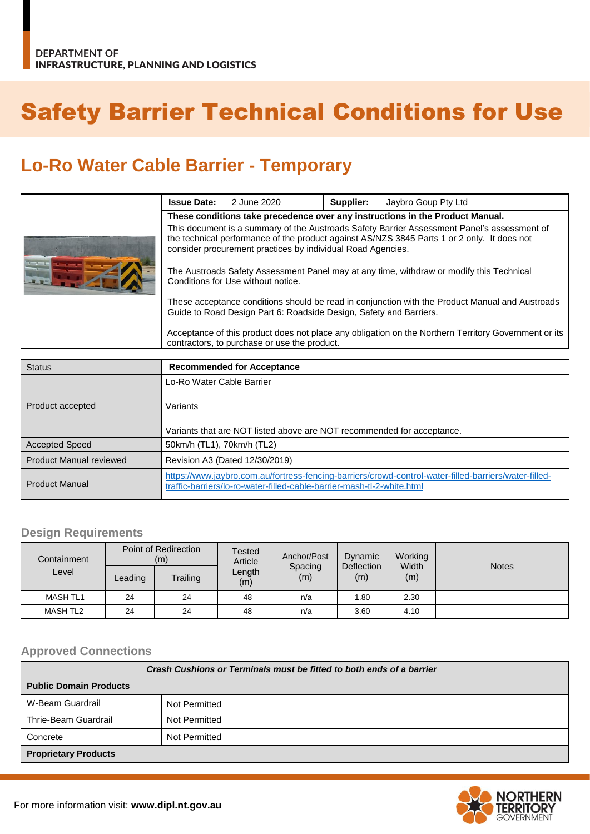# Safety Barrier Technical Conditions for Use

## **Lo-Ro Water Cable Barrier - Temporary**

|  | <b>Issue Date:</b>                                                                                                                                                                                                                                        | 2 June 2020 | Supplier: | Jaybro Goup Pty Ltd |  |  |
|--|-----------------------------------------------------------------------------------------------------------------------------------------------------------------------------------------------------------------------------------------------------------|-------------|-----------|---------------------|--|--|
|  | These conditions take precedence over any instructions in the Product Manual.                                                                                                                                                                             |             |           |                     |  |  |
|  | This document is a summary of the Austroads Safety Barrier Assessment Panel's assessment of<br>the technical performance of the product against AS/NZS 3845 Parts 1 or 2 only. It does not<br>consider procurement practices by individual Road Agencies. |             |           |                     |  |  |
|  | The Austroads Safety Assessment Panel may at any time, withdraw or modify this Technical<br>Conditions for Use without notice.                                                                                                                            |             |           |                     |  |  |
|  | These acceptance conditions should be read in conjunction with the Product Manual and Austroads<br>Guide to Road Design Part 6: Roadside Design, Safety and Barriers.                                                                                     |             |           |                     |  |  |
|  | Acceptance of this product does not place any obligation on the Northern Territory Government or its<br>contractors, to purchase or use the product.                                                                                                      |             |           |                     |  |  |

| <b>Status</b>                  | <b>Recommended for Acceptance</b>                                                                                                                                               |  |  |  |
|--------------------------------|---------------------------------------------------------------------------------------------------------------------------------------------------------------------------------|--|--|--|
|                                | Lo-Ro Water Cable Barrier                                                                                                                                                       |  |  |  |
| Product accepted               | Variants                                                                                                                                                                        |  |  |  |
|                                | Variants that are NOT listed above are NOT recommended for acceptance.                                                                                                          |  |  |  |
| <b>Accepted Speed</b>          | 50km/h (TL1), 70km/h (TL2)                                                                                                                                                      |  |  |  |
| <b>Product Manual reviewed</b> | Revision A3 (Dated 12/30/2019)                                                                                                                                                  |  |  |  |
| <b>Product Manual</b>          | https://www.jaybro.com.au/fortress-fencing-barriers/crowd-control-water-filled-barriers/water-filled-<br>traffic-barriers/lo-ro-water-filled-cable-barrier-mash-tl-2-white.html |  |  |  |

#### **Design Requirements**

| Containment     | Point of Redirection<br>(m) |          | <b>Tested</b><br>Article | Anchor/Post    | Dynamic           | Working      |              |
|-----------------|-----------------------------|----------|--------------------------|----------------|-------------------|--------------|--------------|
| Level           | Leading                     | Trailing | Length<br>(m)            | Spacing<br>(m) | Deflection<br>(m) | Width<br>(m) | <b>Notes</b> |
| <b>MASH TL1</b> | 24                          | 24       | 48                       | n/a            | 1.80              | 2.30         |              |
| MASH TL2        | 24                          | 24       | 48                       | n/a            | 3.60              | 4.10         |              |

#### **Approved Connections**

| Crash Cushions or Terminals must be fitted to both ends of a barrier |               |  |  |
|----------------------------------------------------------------------|---------------|--|--|
| <b>Public Domain Products</b>                                        |               |  |  |
| W-Beam Guardrail                                                     | Not Permitted |  |  |
| Thrie-Beam Guardrail                                                 | Not Permitted |  |  |
| Concrete                                                             | Not Permitted |  |  |
| <b>Proprietary Products</b>                                          |               |  |  |